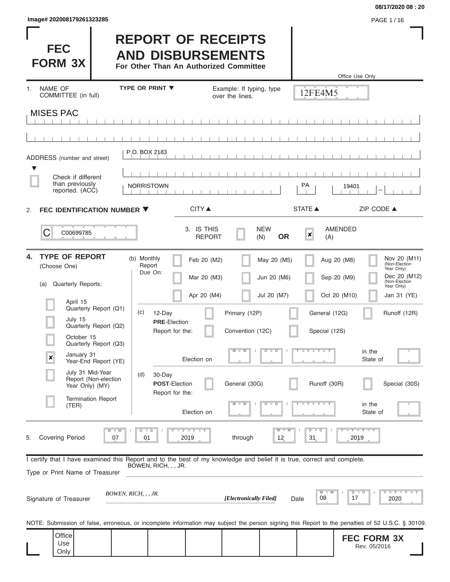Only

#### **08/17/2020 08 : 20**

Rev. 05/2016

| Image# 202008179261323285                                                                                                                                                                                                                                                                                                                                                                                                                                                                                                                                                                                                                                                                                                                                                                                                                                                                                                                                                                                                                                                                                                                                                                                                                                                                                                                                                                                                                                                                                                                                                                                                                                                                                                                                                                                                                                                                                                                                                                                                                                                                                                                                                                                                                                                                                                                                                                                                                             |  |  | PAGE 1/16 |
|-------------------------------------------------------------------------------------------------------------------------------------------------------------------------------------------------------------------------------------------------------------------------------------------------------------------------------------------------------------------------------------------------------------------------------------------------------------------------------------------------------------------------------------------------------------------------------------------------------------------------------------------------------------------------------------------------------------------------------------------------------------------------------------------------------------------------------------------------------------------------------------------------------------------------------------------------------------------------------------------------------------------------------------------------------------------------------------------------------------------------------------------------------------------------------------------------------------------------------------------------------------------------------------------------------------------------------------------------------------------------------------------------------------------------------------------------------------------------------------------------------------------------------------------------------------------------------------------------------------------------------------------------------------------------------------------------------------------------------------------------------------------------------------------------------------------------------------------------------------------------------------------------------------------------------------------------------------------------------------------------------------------------------------------------------------------------------------------------------------------------------------------------------------------------------------------------------------------------------------------------------------------------------------------------------------------------------------------------------------------------------------------------------------------------------------------------------|--|--|-----------|
| <b>FEC</b><br><b>FORM 3X</b>                                                                                                                                                                                                                                                                                                                                                                                                                                                                                                                                                                                                                                                                                                                                                                                                                                                                                                                                                                                                                                                                                                                                                                                                                                                                                                                                                                                                                                                                                                                                                                                                                                                                                                                                                                                                                                                                                                                                                                                                                                                                                                                                                                                                                                                                                                                                                                                                                          |  |  |           |
| <b>NAME OF</b>                                                                                                                                                                                                                                                                                                                                                                                                                                                                                                                                                                                                                                                                                                                                                                                                                                                                                                                                                                                                                                                                                                                                                                                                                                                                                                                                                                                                                                                                                                                                                                                                                                                                                                                                                                                                                                                                                                                                                                                                                                                                                                                                                                                                                                                                                                                                                                                                                                        |  |  |           |
| <b>REPORT OF RECEIPTS</b><br><b>AND DISBURSEMENTS</b><br>For Other Than An Authorized Committee<br>Office Use Only<br><b>TYPE OR PRINT ▼</b><br>Example: If typing, type<br>1<br>12FE4M5<br>COMMITTEE (in full)<br>over the lines.<br><b>MISES PAC</b><br>P.O. BOX 2183<br>ADDRESS (number and street)<br>▼<br>Check if different<br>than previously<br>PA<br><b>NORRISTOWN</b><br>19401<br>reported. (ACC)<br><b>CITY</b> ▲<br><b>STATE ▲</b><br>ZIP CODE ▲<br>FEC IDENTIFICATION NUMBER ▼<br>2.<br>3. IS THIS<br><b>NEW</b><br><b>AMENDED</b><br>C<br>C00699785<br>×<br><b>OR</b><br><b>REPORT</b><br>(N)<br>(A)<br><b>TYPE OF REPORT</b><br>4.<br>(b) Monthly<br>Nov 20 (M11)<br>Feb 20 (M2)<br>May 20 (M5)<br>Aug 20 (M8)<br>(Non-Election<br>Report<br>(Choose One)<br>Year Only)<br>Due On:<br>Dec 20 (M12)<br>Jun 20 (M6)<br>Sep 20 (M9)<br>Mar 20 (M3)<br>(Non-Election<br><b>Quarterly Reports:</b><br>(a)<br>Year Only)<br>Oct 20 (M10)<br>Apr 20 (M4)<br>Jul 20 (M7)<br>Jan 31 (YE)<br>April 15<br>Quarterly Report (Q1)<br>(c)<br>12-Day<br>Primary (12P)<br>General (12G)<br>Runoff (12R)<br>July 15<br><b>PRE-Election</b><br>Quarterly Report (Q2)<br>Report for the:<br>Convention (12C)<br>Special (12S)<br>October 15<br>Quarterly Report (Q3)<br>$M - M$<br>$D$ $D$<br>Y I Y I Y I Y<br>in the<br>$\prime$<br>January 31<br>$\boldsymbol{x}$<br>Election on<br>State of<br>Year-End Report (YE)<br>July 31 Mid-Year<br>30-Day<br>(d)<br>Report (Non-election<br>Runoff (30R)<br><b>POST-Election</b><br>General (30G)<br>Special (30S)<br>Year Only) (MY)<br>Report for the:<br><b>Termination Report</b><br>$Y - Y - Y - Y - Y$<br>$M - M$<br>$D$ $D$<br>in the<br>(TER)<br>Election on<br>State of<br>$T$ $Y$ $T$ $Y$ $T$ $Y$<br>$Y - Y - Y - I - Y$<br>$M - M$<br>$D$ $D$<br>$M$ $M$<br>$D$ $D$<br><b>Covering Period</b><br>07<br>2019<br>through<br>12<br>2019<br>01<br>31<br>5.<br>I certify that I have examined this Report and to the best of my knowledge and belief it is true, correct and complete.<br>BOWEN, RICH, , , JR.<br>Type or Print Name of Treasurer<br>Y LY LY LY<br>$D$ $D$<br>$M$ $M$<br>BOWEN, RICH, , , JR.<br>[Electronically Filed]<br>08<br>17<br>2020<br>Signature of Treasurer<br>Date<br>NOTE: Submission of false, erroneous, or incomplete information may subject the person signing this Report to the penalties of 52 U.S.C. § 30109.<br>Office<br><b>FEC FORM 3X</b><br>Use<br>Rev 05/2016 |  |  |           |
|                                                                                                                                                                                                                                                                                                                                                                                                                                                                                                                                                                                                                                                                                                                                                                                                                                                                                                                                                                                                                                                                                                                                                                                                                                                                                                                                                                                                                                                                                                                                                                                                                                                                                                                                                                                                                                                                                                                                                                                                                                                                                                                                                                                                                                                                                                                                                                                                                                                       |  |  |           |
|                                                                                                                                                                                                                                                                                                                                                                                                                                                                                                                                                                                                                                                                                                                                                                                                                                                                                                                                                                                                                                                                                                                                                                                                                                                                                                                                                                                                                                                                                                                                                                                                                                                                                                                                                                                                                                                                                                                                                                                                                                                                                                                                                                                                                                                                                                                                                                                                                                                       |  |  |           |
|                                                                                                                                                                                                                                                                                                                                                                                                                                                                                                                                                                                                                                                                                                                                                                                                                                                                                                                                                                                                                                                                                                                                                                                                                                                                                                                                                                                                                                                                                                                                                                                                                                                                                                                                                                                                                                                                                                                                                                                                                                                                                                                                                                                                                                                                                                                                                                                                                                                       |  |  |           |
|                                                                                                                                                                                                                                                                                                                                                                                                                                                                                                                                                                                                                                                                                                                                                                                                                                                                                                                                                                                                                                                                                                                                                                                                                                                                                                                                                                                                                                                                                                                                                                                                                                                                                                                                                                                                                                                                                                                                                                                                                                                                                                                                                                                                                                                                                                                                                                                                                                                       |  |  |           |
|                                                                                                                                                                                                                                                                                                                                                                                                                                                                                                                                                                                                                                                                                                                                                                                                                                                                                                                                                                                                                                                                                                                                                                                                                                                                                                                                                                                                                                                                                                                                                                                                                                                                                                                                                                                                                                                                                                                                                                                                                                                                                                                                                                                                                                                                                                                                                                                                                                                       |  |  |           |
|                                                                                                                                                                                                                                                                                                                                                                                                                                                                                                                                                                                                                                                                                                                                                                                                                                                                                                                                                                                                                                                                                                                                                                                                                                                                                                                                                                                                                                                                                                                                                                                                                                                                                                                                                                                                                                                                                                                                                                                                                                                                                                                                                                                                                                                                                                                                                                                                                                                       |  |  |           |
|                                                                                                                                                                                                                                                                                                                                                                                                                                                                                                                                                                                                                                                                                                                                                                                                                                                                                                                                                                                                                                                                                                                                                                                                                                                                                                                                                                                                                                                                                                                                                                                                                                                                                                                                                                                                                                                                                                                                                                                                                                                                                                                                                                                                                                                                                                                                                                                                                                                       |  |  |           |
|                                                                                                                                                                                                                                                                                                                                                                                                                                                                                                                                                                                                                                                                                                                                                                                                                                                                                                                                                                                                                                                                                                                                                                                                                                                                                                                                                                                                                                                                                                                                                                                                                                                                                                                                                                                                                                                                                                                                                                                                                                                                                                                                                                                                                                                                                                                                                                                                                                                       |  |  |           |
|                                                                                                                                                                                                                                                                                                                                                                                                                                                                                                                                                                                                                                                                                                                                                                                                                                                                                                                                                                                                                                                                                                                                                                                                                                                                                                                                                                                                                                                                                                                                                                                                                                                                                                                                                                                                                                                                                                                                                                                                                                                                                                                                                                                                                                                                                                                                                                                                                                                       |  |  |           |
|                                                                                                                                                                                                                                                                                                                                                                                                                                                                                                                                                                                                                                                                                                                                                                                                                                                                                                                                                                                                                                                                                                                                                                                                                                                                                                                                                                                                                                                                                                                                                                                                                                                                                                                                                                                                                                                                                                                                                                                                                                                                                                                                                                                                                                                                                                                                                                                                                                                       |  |  |           |
|                                                                                                                                                                                                                                                                                                                                                                                                                                                                                                                                                                                                                                                                                                                                                                                                                                                                                                                                                                                                                                                                                                                                                                                                                                                                                                                                                                                                                                                                                                                                                                                                                                                                                                                                                                                                                                                                                                                                                                                                                                                                                                                                                                                                                                                                                                                                                                                                                                                       |  |  |           |
|                                                                                                                                                                                                                                                                                                                                                                                                                                                                                                                                                                                                                                                                                                                                                                                                                                                                                                                                                                                                                                                                                                                                                                                                                                                                                                                                                                                                                                                                                                                                                                                                                                                                                                                                                                                                                                                                                                                                                                                                                                                                                                                                                                                                                                                                                                                                                                                                                                                       |  |  |           |
|                                                                                                                                                                                                                                                                                                                                                                                                                                                                                                                                                                                                                                                                                                                                                                                                                                                                                                                                                                                                                                                                                                                                                                                                                                                                                                                                                                                                                                                                                                                                                                                                                                                                                                                                                                                                                                                                                                                                                                                                                                                                                                                                                                                                                                                                                                                                                                                                                                                       |  |  |           |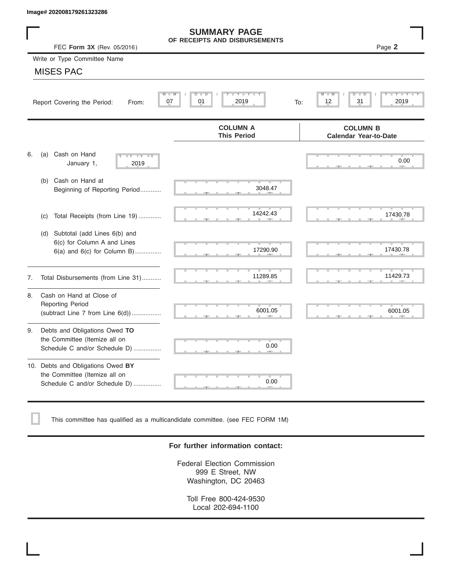|    | Image# 202008179261323286                                                                           |                                                      |                                                 |
|----|-----------------------------------------------------------------------------------------------------|------------------------------------------------------|-------------------------------------------------|
|    | FEC Form 3X (Rev. 05/2016)                                                                          | <b>SUMMARY PAGE</b><br>OF RECEIPTS AND DISBURSEMENTS | Page 2                                          |
|    | Write or Type Committee Name                                                                        |                                                      |                                                 |
|    | <b>MISES PAC</b>                                                                                    |                                                      |                                                 |
|    | M<br>Report Covering the Period:<br>From:                                                           | Y I Y I<br>D<br>D<br>2019<br>07<br>01                | D<br>31<br>2019<br>12<br>To:                    |
|    |                                                                                                     | <b>COLUMN A</b><br><b>This Period</b>                | <b>COLUMN B</b><br><b>Calendar Year-to-Date</b> |
| 6. | Cash on Hand<br>(a)<br>$-Y - Y - Y$<br>January 1,<br>2019                                           |                                                      | 0.00                                            |
|    | Cash on Hand at<br>(b)<br>Beginning of Reporting Period                                             | 3048.47                                              |                                                 |
|    | Total Receipts (from Line 19)<br>(c)                                                                | 14242.43                                             | 17430.78                                        |
|    | Subtotal (add Lines 6(b) and<br>(d)<br>6(c) for Column A and Lines<br>6(a) and 6(c) for Column B)   | 17290.90                                             | 17430.78                                        |
| 7. | Total Disbursements (from Line 31)                                                                  | 11289.85                                             | 11429.73                                        |
| 8. | Cash on Hand at Close of<br><b>Reporting Period</b><br>(subtract Line $7$ from Line $6(d)$ )        | 6001.05                                              | 6001.05                                         |
| 9. | Debts and Obligations Owed TO<br>the Committee (Itemize all on<br>Schedule C and/or Schedule D)     | 0.00                                                 |                                                 |
|    | 10. Debts and Obligations Owed BY<br>the Committee (Itemize all on<br>Schedule C and/or Schedule D) | т<br>0.00                                            |                                                 |

This committee has qualified as a multicandidate committee. (see FEC FORM 1M)

#### **For further information contact:**

Federal Election Commission 999 E Street, NW Washington, DC 20463

Toll Free 800-424-9530 Local 202-694-1100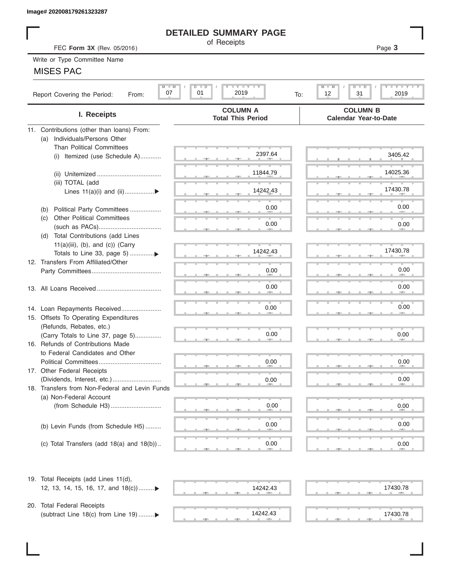#### **DETAILED SUMMARY PAGE**

#### MISES PAC

| Image# 202008179261323287                                         |                                                         |                                                                   |
|-------------------------------------------------------------------|---------------------------------------------------------|-------------------------------------------------------------------|
|                                                                   | <b>DETAILED SUMMARY PAGE</b>                            |                                                                   |
| FEC Form 3X (Rev. 05/2016)                                        | of Receipts                                             | Page 3                                                            |
| Write or Type Committee Name                                      |                                                         |                                                                   |
| <b>MISES PAC</b>                                                  |                                                         |                                                                   |
|                                                                   |                                                         |                                                                   |
| $M - M$<br>07<br>Report Covering the Period:<br>From:             | $T - Y = T - Y = T - Y$<br>$D$ $D$<br>01<br>2019<br>To: | $T - Y = T - Y$<br>$M - M$<br>$D$ $\Box$<br>D<br>12<br>31<br>2019 |
| I. Receipts                                                       | <b>COLUMN A</b><br><b>Total This Period</b>             | <b>COLUMN B</b><br><b>Calendar Year-to-Date</b>                   |
| 11. Contributions (other than loans) From:                        |                                                         |                                                                   |
| Individuals/Persons Other<br>(a)                                  |                                                         |                                                                   |
| <b>Than Political Committees</b>                                  |                                                         |                                                                   |
| Itemized (use Schedule A)<br>(i)                                  | 2397.64                                                 | 3405.42                                                           |
|                                                                   |                                                         |                                                                   |
|                                                                   | 11844.79                                                | 14025.36                                                          |
| (iii) TOTAL (add                                                  | 14242.43                                                | 17430.78                                                          |
| Lines $11(a)(i)$ and $(ii)$                                       |                                                         |                                                                   |
| Political Party Committees<br>(b)                                 | 0.00                                                    | 0.00                                                              |
| <b>Other Political Committees</b><br>(C)                          |                                                         |                                                                   |
|                                                                   | 0.00                                                    | 0.00                                                              |
| Total Contributions (add Lines<br>(d)                             |                                                         |                                                                   |
| $11(a)(iii)$ , (b), and (c)) (Carry                               |                                                         |                                                                   |
|                                                                   | 14242.43                                                | 17430.78                                                          |
| 12. Transfers From Affiliated/Other                               |                                                         |                                                                   |
|                                                                   | 0.00                                                    | 0.00                                                              |
|                                                                   | 0.00                                                    | 0.00                                                              |
|                                                                   |                                                         |                                                                   |
|                                                                   |                                                         | 0.00                                                              |
| 14. Loan Repayments Received                                      | 0.00                                                    |                                                                   |
| 15. Offsets To Operating Expenditures<br>(Refunds, Rebates, etc.) |                                                         |                                                                   |
| (Carry Totals to Line 37, page 5)                                 | 0.00                                                    | 0.00                                                              |
| 16. Refunds of Contributions Made                                 |                                                         |                                                                   |
| to Federal Candidates and Other                                   |                                                         |                                                                   |
| Political Committees                                              | 0.00                                                    | 0.00                                                              |
| 17. Other Federal Receipts                                        |                                                         |                                                                   |
|                                                                   | 0.00                                                    | 0.00                                                              |
| 18. Transfers from Non-Federal and Levin Funds                    |                                                         |                                                                   |
| (a) Non-Federal Account                                           |                                                         |                                                                   |
|                                                                   | 0.00                                                    | 0.00                                                              |
|                                                                   | 0.00                                                    | 0.00                                                              |
| (b) Levin Funds (from Schedule H5)                                |                                                         |                                                                   |
| (c) Total Transfers (add $18(a)$ and $18(b)$ )                    | 0.00                                                    | 0.00                                                              |
|                                                                   |                                                         |                                                                   |
| 19. Total Receipts (add Lines 11(d),                              |                                                         |                                                                   |
| 12, 13, 14, 15, 16, 17, and 18(c))▶                               | 14242.43                                                | 17430.78                                                          |
|                                                                   |                                                         |                                                                   |
| 20. Total Federal Receipts                                        | 14242.43                                                |                                                                   |
| (subtract Line 18(c) from Line 19) ▶                              |                                                         | 17430.78                                                          |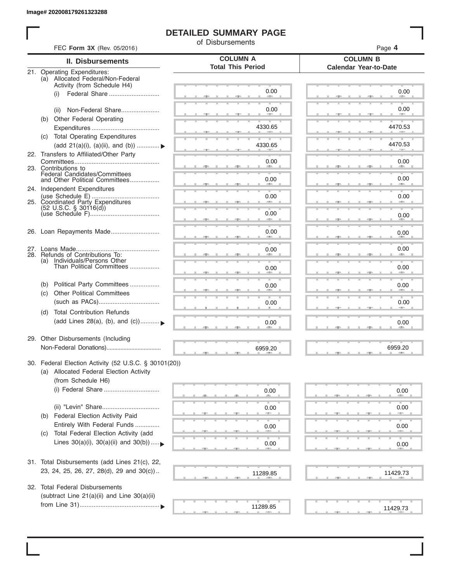### **DETAILED SUMMARY PAGE**

of Disbursements

| <b>II. Disbursements</b>                                                                                               | <b>COLUMN A</b>          | <b>COLUMN B</b>                        |
|------------------------------------------------------------------------------------------------------------------------|--------------------------|----------------------------------------|
|                                                                                                                        | <b>Total This Period</b> | <b>Calendar Year-to-Date</b>           |
| 21. Operating Expenditures:<br>(a) Allocated Federal/Non-Federal                                                       |                          |                                        |
| Activity (from Schedule H4)<br>Federal Share<br>(i)                                                                    | 0.00                     | 0.00                                   |
| Non-Federal Share<br>(ii)                                                                                              | 0.00                     | 0.00                                   |
| Other Federal Operating<br>(b)                                                                                         |                          |                                        |
| (c) Total Operating Expenditures                                                                                       | 4330.65                  | 4470.53                                |
| (add 21(a)(i), (a)(ii), and (b))                                                                                       | 4330.65                  | 4470.53                                |
| 22. Transfers to Affiliated/Other Party                                                                                | 0.00                     | 0.00                                   |
| 23. Contributions to<br>Federal Candidates/Committees<br>and Other Political Committees                                | 0.00                     | <b>All Andre</b><br>0.00<br><b>AND</b> |
| 24. Independent Expenditures                                                                                           | 0.00                     | 0.00                                   |
| 25. Coordinated Party Expenditures<br>$(52 \text{ U.S.C. }$ § 30116(d))                                                |                          |                                        |
|                                                                                                                        | 0.00                     | 0.00                                   |
| 26. Loan Repayments Made                                                                                               | 0.00                     | 0.00                                   |
| 28. Refunds of Contributions To:                                                                                       | 0.00                     | 0.00                                   |
| (a) Individuals/Persons Other<br>Than Political Committees                                                             | 0.00                     | 0.00                                   |
| Political Party Committees<br>(b)                                                                                      | 0.00                     | 0.00                                   |
| <b>Other Political Committees</b><br>(C)                                                                               | 0.00                     | 0.00                                   |
| <b>Total Contribution Refunds</b><br>(d)<br>(add Lines 28(a), (b), and (c))                                            | 0.00                     | 0.00                                   |
| 29. Other Disbursements (Including                                                                                     | 6959.20                  | 6959.20                                |
| 30. Federal Election Activity (52 U.S.C. § 30101(20))<br>(a) Allocated Federal Election Activity<br>(from Schedule H6) |                          |                                        |
| (i) Federal Share                                                                                                      | 0.00                     | 0.00                                   |
| <b>Federal Election Activity Paid</b>                                                                                  | 0.00                     | 0.00                                   |
| (b)<br>Entirely With Federal Funds                                                                                     | 0.00                     | 0.00                                   |
| Total Federal Election Activity (add<br>(C)<br>Lines $30(a)(i)$ , $30(a)(ii)$ and $30(b))$                             | 0.00                     | 0.00                                   |
|                                                                                                                        |                          |                                        |
| 31. Total Disbursements (add Lines 21(c), 22,<br>23, 24, 25, 26, 27, 28(d), 29 and 30(c))                              | 11289.85                 | 11429.73                               |
| 32. Total Federal Disbursements<br>(subtract Line 21(a)(ii) and Line 30(a)(ii)                                         |                          |                                        |
|                                                                                                                        | 11289.85                 | 11429.73                               |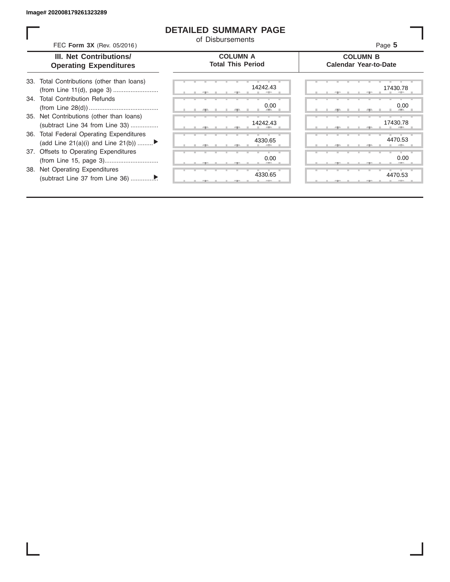ı

#### **DETAILED SUMMARY PAGE**

of Disbursements

| FEC Form 3X (Rev. 05/2016)                                                     | u Dionalochighto                            | Page 5                                          |
|--------------------------------------------------------------------------------|---------------------------------------------|-------------------------------------------------|
| <b>III. Net Contributions/</b><br><b>Operating Expenditures</b>                | <b>COLUMN A</b><br><b>Total This Period</b> | <b>COLUMN B</b><br><b>Calendar Year-to-Date</b> |
| 33. Total Contributions (other than loans)                                     | 14242.43                                    | 17430.78                                        |
| 34. Total Contribution Refunds                                                 | 0.00                                        | 0.00                                            |
| 35. Net Contributions (other than loans)<br>(subtract Line 34 from Line 33)    | 14242.43                                    | 17430.78                                        |
| 36. Total Federal Operating Expenditures<br>(add Line 21(a)(i) and Line 21(b)) | 4330.65                                     | 4470.53                                         |
| 37. Offsets to Operating Expenditures                                          | 0.00                                        | 0.00                                            |
| 38. Net Operating Expenditures                                                 | 4330.65                                     | 4470.53                                         |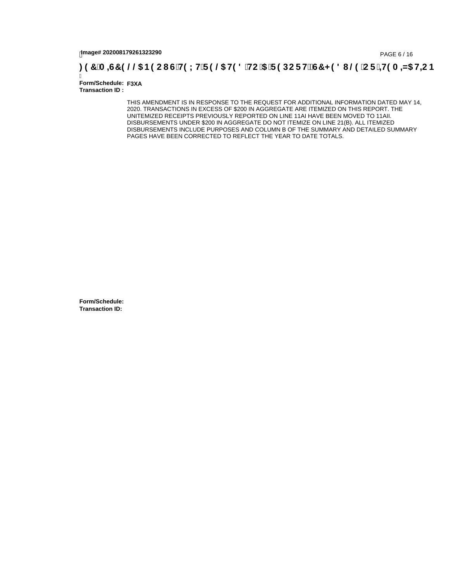# tmage# 202008179261323290<br>DAGE 6 / 16, PAGE 6 / 16, PAGE 6 / 16, PAGE **5 / 211 GH9 LHF 9 @ H9 8 `HC `5**

Ī **Form/Schedule: F3XA Transaction ID :** 

> THIS AMENDMENT IS IN RESPONSE TO THE REQUEST FOR ADDITIONAL INFORMATION DATED MAY 14, 2020. TRANSACTIONS IN EXCESS OF \$200 IN AGGREGATE ARE ITEMIZED ON THIS REPORT. THE UNITEMIZED RECEIPTS PREVIOUSLY REPORTED ON LINE 11AI HAVE BEEN MOVED TO 11AII. DISBURSEMENTS UNDER \$200 IN AGGREGATE DO NOT ITEMIZE ON LINE 21(B). ALL ITEMIZED DISBURSEMENTS INCLUDE PURPOSES AND COLUMN B OF THE SUMMARY AND DETAILED SUMMARY PAGES HAVE BEEN CORRECTED TO REFLECT THE YEAR TO DATE TOTALS.

**Form/Schedule: Transaction ID:**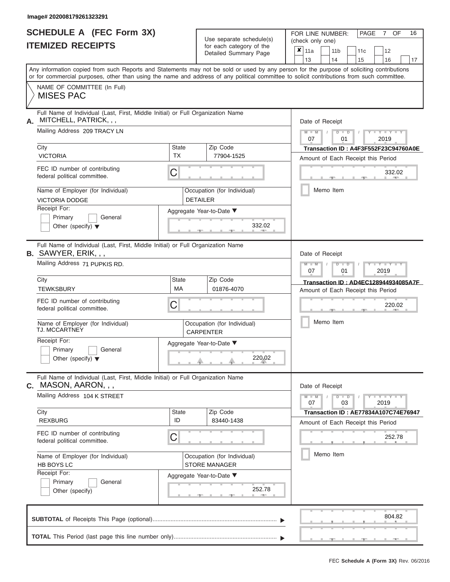#### **Image# 202008179261323291**

|                          | <b>SCHEDULE A (FEC Form 3X)</b> |
|--------------------------|---------------------------------|
| <b>ITEMIZED RECEIPTS</b> |                                 |

| SCHEDULE A (FEC Form 3X)<br><b>ITEMIZED RECEIPTS</b>                                                            |                           | Use separate schedule(s)<br>for each category of the | FOR LINE NUMBER:<br>PAGE<br>OF<br>16<br>7<br>(check only one)<br>$\overline{\mathbf{x}}$   11a<br>11 <sub>b</sub><br>12<br>11 <sub>c</sub>                                                                                                                                              |
|-----------------------------------------------------------------------------------------------------------------|---------------------------|------------------------------------------------------|-----------------------------------------------------------------------------------------------------------------------------------------------------------------------------------------------------------------------------------------------------------------------------------------|
|                                                                                                                 |                           | Detailed Summary Page                                | 13<br>14<br>15<br>16<br>17                                                                                                                                                                                                                                                              |
|                                                                                                                 |                           |                                                      | Any information copied from such Reports and Statements may not be sold or used by any person for the purpose of soliciting contributions<br>or for commercial purposes, other than using the name and address of any political committee to solicit contributions from such committee. |
| NAME OF COMMITTEE (In Full)<br><b>MISES PAC</b>                                                                 |                           |                                                      |                                                                                                                                                                                                                                                                                         |
| Full Name of Individual (Last, First, Middle Initial) or Full Organization Name<br>MITCHELL, PATRICK, , ,<br>Α. |                           |                                                      | Date of Receipt                                                                                                                                                                                                                                                                         |
| Mailing Address 209 TRACY LN                                                                                    |                           |                                                      | $M$ – $M$ /<br>$\cdots$ $\gamma$ $\cdots$ $\gamma$ $\cdots$ $\gamma$<br>$D$ $D$<br>07<br>01<br>2019                                                                                                                                                                                     |
| City<br><b>VICTORIA</b>                                                                                         | <b>State</b><br><b>TX</b> | Zip Code<br>77904-1525                               | Transaction ID: A4F3F552F23C94760A0E<br>Amount of Each Receipt this Period                                                                                                                                                                                                              |
| FEC ID number of contributing<br>federal political committee.                                                   | C                         |                                                      | 332.02<br><b>Contract Contract</b>                                                                                                                                                                                                                                                      |
| Name of Employer (for Individual)<br><b>VICTORIA DODGE</b>                                                      |                           | Occupation (for Individual)<br><b>DETAILER</b>       | Memo Item                                                                                                                                                                                                                                                                               |
| Receipt For:<br>Primary<br>General<br>Other (specify) $\blacktriangledown$                                      |                           | Aggregate Year-to-Date ▼<br>332.02                   |                                                                                                                                                                                                                                                                                         |
| Full Name of Individual (Last, First, Middle Initial) or Full Organization Name<br>$B.$ SAWYER, ERIK, , ,       |                           |                                                      | Date of Receipt                                                                                                                                                                                                                                                                         |
| Mailing Address 71 PUPKIS RD.                                                                                   |                           |                                                      | $M - M$<br>$D$ $D$<br>$\Box$ $\Upsilon$ $\Box$ $\Upsilon$ $\Upsilon$ $\Upsilon$<br>$\prime$<br>07<br>2019<br>01                                                                                                                                                                         |
| City<br><b>TEWKSBURY</b>                                                                                        | <b>State</b><br>MA        | Zip Code<br>01876-4070                               | Transaction ID: AD4EC128944934085A7F<br>Amount of Each Receipt this Period                                                                                                                                                                                                              |
| FEC ID number of contributing<br>federal political committee.                                                   | C                         |                                                      | 220.02                                                                                                                                                                                                                                                                                  |
| Name of Employer (for Individual)<br>TJ. MCCARTNEY                                                              |                           | Occupation (for Individual)<br><b>CARPENTER</b>      | Memo Item                                                                                                                                                                                                                                                                               |
| Receipt For:<br>Primary<br>General                                                                              |                           | Aggregate Year-to-Date ▼                             |                                                                                                                                                                                                                                                                                         |
| Other (specify) $\blacktriangledown$                                                                            |                           | 220.02                                               |                                                                                                                                                                                                                                                                                         |
| Full Name of Individual (Last, First, Middle Initial) or Full Organization Name<br>C. MASON, AARON, , ,         |                           |                                                      | Date of Receipt                                                                                                                                                                                                                                                                         |
| Mailing Address 104 K STREET                                                                                    |                           |                                                      | $M - M$<br>$D$ $D$<br>$Y - Y - Y - Y$<br>03<br>2019<br>07                                                                                                                                                                                                                               |
| City<br><b>REXBURG</b>                                                                                          | State<br>ID               | Zip Code<br>83440-1438                               | <b>Transaction ID: AE77834A107C74E76947</b><br>Amount of Each Receipt this Period                                                                                                                                                                                                       |
| FEC ID number of contributing<br>federal political committee.                                                   | C                         |                                                      | 252.78                                                                                                                                                                                                                                                                                  |
| Name of Employer (for Individual)<br>HB BOYS LC                                                                 |                           | Occupation (for Individual)<br><b>STORE MANAGER</b>  | Memo Item                                                                                                                                                                                                                                                                               |
| Receipt For:<br>Primary<br>General<br>Other (specify)                                                           |                           | Aggregate Year-to-Date ▼<br>252.78                   |                                                                                                                                                                                                                                                                                         |
|                                                                                                                 |                           |                                                      | 804.82                                                                                                                                                                                                                                                                                  |
|                                                                                                                 |                           |                                                      | _____________<br>$-$                                                                                                                                                                                                                                                                    |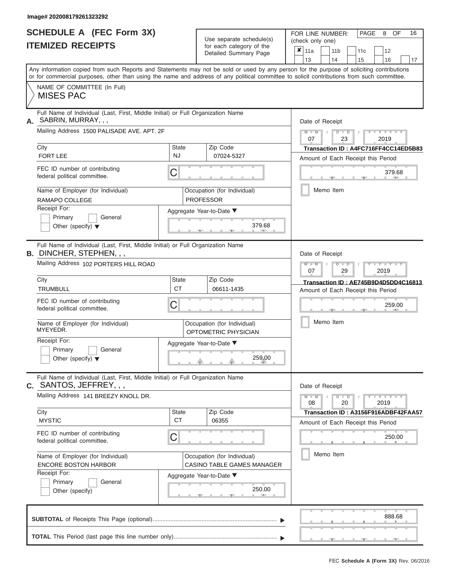#### **Image# 202008179261323292**

| <b>SCHEDULE A (FEC Form 3X)</b> |  |  |
|---------------------------------|--|--|
| <b>ITEMIZED RECEIPTS</b>        |  |  |

Use separate schedule(s) (check only one) for each category of the

FOR LINE NUMBER:<br>(check only one)

PAGE 8 OF 16

| IIEMIZED RECEIPIS                                                                                                                                                                                                                                                                       |                                | for each category of the<br>Detailed Summary Page                                                                    | ×<br>11a<br>12<br>11 b<br>11 <sub>c</sub><br>13<br>14<br>17<br>15<br>16                                                                                    |
|-----------------------------------------------------------------------------------------------------------------------------------------------------------------------------------------------------------------------------------------------------------------------------------------|--------------------------------|----------------------------------------------------------------------------------------------------------------------|------------------------------------------------------------------------------------------------------------------------------------------------------------|
| Any information copied from such Reports and Statements may not be sold or used by any person for the purpose of soliciting contributions<br>or for commercial purposes, other than using the name and address of any political committee to solicit contributions from such committee. |                                |                                                                                                                      |                                                                                                                                                            |
| NAME OF COMMITTEE (In Full)<br><b>MISES PAC</b>                                                                                                                                                                                                                                         |                                |                                                                                                                      |                                                                                                                                                            |
| Full Name of Individual (Last, First, Middle Initial) or Full Organization Name<br>A. SABRIN, MURRAY, ,,<br>Mailing Address 1500 PALISADE AVE. APT. 2F<br>City<br><b>FORT LEE</b>                                                                                                       | <b>State</b><br><b>NJ</b>      | Zip Code<br>07024-5327                                                                                               | Date of Receipt<br>$Y = Y + Y$<br>$M - M$<br>$\Box$<br>D<br>2019<br>07<br>23<br>Transaction ID: A4FC716FF4CC14ED5B83<br>Amount of Each Receipt this Period |
| FEC ID number of contributing<br>federal political committee.<br>Name of Employer (for Individual)<br>RAMAPO COLLEGE<br>Receipt For:                                                                                                                                                    | C                              | Occupation (for Individual)<br><b>PROFESSOR</b><br>Aggregate Year-to-Date ▼                                          | 379.68<br>Memo Item                                                                                                                                        |
| Primary<br>General<br>Other (specify) $\blacktriangledown$<br>Full Name of Individual (Last, First, Middle Initial) or Full Organization Name<br>B. DINCHER, STEPHEN, , ,                                                                                                               |                                | 379.68                                                                                                               | Date of Receipt                                                                                                                                            |
| Mailing Address 102 PORTERS HILL ROAD<br>City<br><b>TRUMBULL</b>                                                                                                                                                                                                                        | State<br><b>CT</b>             | Zip Code<br>06611-1435                                                                                               | <b>LEYTHEY LEY</b><br>$M - M$<br>$\overline{D}$<br>D<br>07<br>29<br>2019<br>Transaction ID: AE745B9D4D5DD4C16813<br>Amount of Each Receipt this Period     |
| FEC ID number of contributing<br>federal political committee.<br>Name of Employer (for Individual)                                                                                                                                                                                      | C                              | Occupation (for Individual)                                                                                          | 259.00<br>Memo Item                                                                                                                                        |
| MYEYEDR.<br>Receipt For:<br>Primary<br>General<br>Other (specify) $\blacktriangledown$                                                                                                                                                                                                  |                                | OPTOMETRIC PHYSICIAN<br>Aggregate Year-to-Date ▼<br>259.00                                                           |                                                                                                                                                            |
| Full Name of Individual (Last, First, Middle Initial) or Full Organization Name<br>$c.$ SANTOS, JEFFREY, , ,<br>Mailing Address 141 BREEZY KNOLL DR.                                                                                                                                    |                                |                                                                                                                      | Date of Receipt<br>$Y - Y - Y$<br>$\blacksquare$<br>$M - M$<br>$\overline{D}$<br>08<br>20<br>2019                                                          |
| City<br><b>MYSTIC</b><br>FEC ID number of contributing<br>federal political committee.<br>Name of Employer (for Individual)<br><b>ENCORE BOSTON HARBOR</b><br>Receipt For:<br>Primary<br>General<br>Other (specify)                                                                     | <b>State</b><br><b>CT</b><br>C | Zip Code<br>06355<br>Occupation (for Individual)<br>CASINO TABLE GAMES MANAGER<br>Aggregate Year-to-Date ▼<br>250.00 | Transaction ID: A3156F916ADBF42FAA57<br>Amount of Each Receipt this Period<br>250.00<br>Memo Item                                                          |
|                                                                                                                                                                                                                                                                                         |                                |                                                                                                                      | 888.68                                                                                                                                                     |
|                                                                                                                                                                                                                                                                                         |                                |                                                                                                                      |                                                                                                                                                            |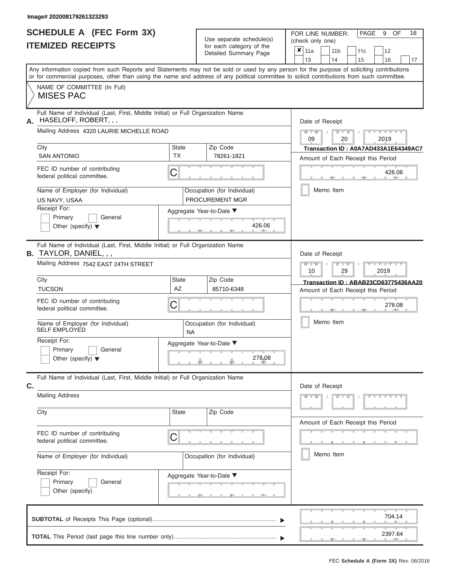## **SCHEDULE A (FEC Form 3X) ITEMIZED RECEIPTS**

| SCHEDULE A (FEC Form 3X)<br><b>ITEMIZED RECEIPTS</b>                                                                                                                                                                                                                                    |                           | Use separate schedule(s)<br>for each category of the<br>Detailed Summary Page | FOR LINE NUMBER:<br>PAGE<br>9<br>OF<br>16<br>(check only one)<br>$\overline{\mathbf{x}}$   11a<br>11 <sub>b</sub><br>12<br>11c |
|-----------------------------------------------------------------------------------------------------------------------------------------------------------------------------------------------------------------------------------------------------------------------------------------|---------------------------|-------------------------------------------------------------------------------|--------------------------------------------------------------------------------------------------------------------------------|
|                                                                                                                                                                                                                                                                                         |                           |                                                                               | 13<br>14<br>15<br>16<br>17                                                                                                     |
| Any information copied from such Reports and Statements may not be sold or used by any person for the purpose of soliciting contributions<br>or for commercial purposes, other than using the name and address of any political committee to solicit contributions from such committee. |                           |                                                                               |                                                                                                                                |
| NAME OF COMMITTEE (In Full)<br><b>MISES PAC</b>                                                                                                                                                                                                                                         |                           |                                                                               |                                                                                                                                |
| Full Name of Individual (Last, First, Middle Initial) or Full Organization Name<br>HASELOFF, ROBERT, , ,<br>А.<br>Mailing Address 4320 LAURIE MICHELLE ROAD                                                                                                                             |                           |                                                                               | Date of Receipt<br>$M$ – $M$ /<br>$Y = Y = Y$<br>$D$ $D$<br>09<br>20<br>2019                                                   |
| City<br><b>SAN ANTONIO</b>                                                                                                                                                                                                                                                              | <b>State</b><br><b>TX</b> | Zip Code<br>78261-1821                                                        | Transaction ID: A0A7AD433A1E64349AC7<br>Amount of Each Receipt this Period                                                     |
| FEC ID number of contributing<br>federal political committee.                                                                                                                                                                                                                           | С                         |                                                                               | 426.06<br><b>AND A</b>                                                                                                         |
| Name of Employer (for Individual)<br>US NAVY, USAA                                                                                                                                                                                                                                      |                           | Occupation (for Individual)<br><b>PROCUREMENT MGR</b>                         | Memo Item                                                                                                                      |
| Receipt For:<br>Primary<br>General<br>Other (specify) $\blacktriangledown$                                                                                                                                                                                                              |                           | Aggregate Year-to-Date ▼<br>426.06                                            |                                                                                                                                |
| Full Name of Individual (Last, First, Middle Initial) or Full Organization Name<br><b>B.</b> TAYLOR, DANIEL, , ,                                                                                                                                                                        |                           |                                                                               | Date of Receipt                                                                                                                |
| Mailing Address 7542 EAST 24TH STREET                                                                                                                                                                                                                                                   |                           |                                                                               | $M - M$<br>$D$ $D$<br>Y TYT<br>10<br>29<br>2019                                                                                |
| City<br><b>TUCSON</b>                                                                                                                                                                                                                                                                   | State<br>AZ               | Zip Code<br>85710-6348                                                        | Transaction ID: ABAB23CD63775436AA20<br>Amount of Each Receipt this Period                                                     |
| FEC ID number of contributing<br>federal political committee.                                                                                                                                                                                                                           | С                         |                                                                               | 278.08                                                                                                                         |
| Name of Employer (for Individual)<br><b>SELF EMPLOYED</b>                                                                                                                                                                                                                               | <b>NA</b>                 | Occupation (for Individual)                                                   | Memo Item                                                                                                                      |
| Receipt For:<br>Primary<br>General<br>Other (specify) $\blacktriangledown$                                                                                                                                                                                                              |                           | Aggregate Year-to-Date ▼<br>278.08<br>a.                                      |                                                                                                                                |
| Full Name of Individual (Last, First, Middle Initial) or Full Organization Name<br>C.                                                                                                                                                                                                   |                           |                                                                               | Date of Receipt                                                                                                                |
| <b>Mailing Address</b>                                                                                                                                                                                                                                                                  |                           |                                                                               | $Y - Y - Y - Y - Y$<br>$M - M$<br>$D$ $D$                                                                                      |
| City                                                                                                                                                                                                                                                                                    | <b>State</b>              | Zip Code                                                                      | Amount of Each Receipt this Period                                                                                             |
| FEC ID number of contributing<br>federal political committee.                                                                                                                                                                                                                           | С                         |                                                                               |                                                                                                                                |
| Name of Employer (for Individual)                                                                                                                                                                                                                                                       |                           | Occupation (for Individual)                                                   | Memo Item                                                                                                                      |
| Receipt For:<br>Primary<br>General<br>Other (specify)                                                                                                                                                                                                                                   |                           | Aggregate Year-to-Date ▼<br>_________                                         |                                                                                                                                |
|                                                                                                                                                                                                                                                                                         |                           |                                                                               | 704.14                                                                                                                         |
|                                                                                                                                                                                                                                                                                         |                           |                                                                               | 2397.64<br>400                                                                                                                 |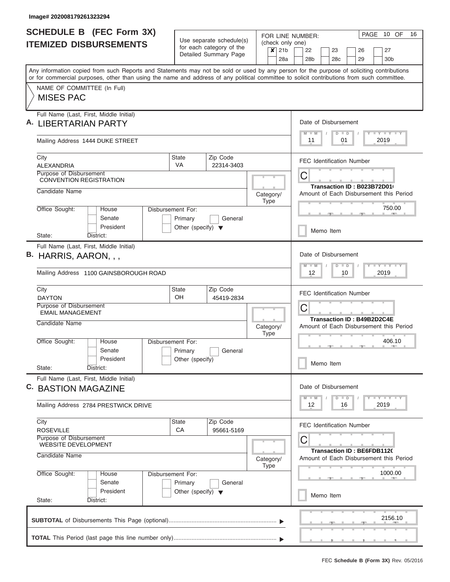| <b>SCHEDULE B</b> (FEC Form 3X)<br><b>ITEMIZED DISBURSEMENTS</b>                                                                                                                                                                                                                                                       |                                                                      | Use separate schedule(s)                                              | FOR LINE NUMBER:<br>(check only one) |  |                                  |                       |           |    |                                   |  | PAGE 10 OF                              | 16 |
|------------------------------------------------------------------------------------------------------------------------------------------------------------------------------------------------------------------------------------------------------------------------------------------------------------------------|----------------------------------------------------------------------|-----------------------------------------------------------------------|--------------------------------------|--|----------------------------------|-----------------------|-----------|----|-----------------------------------|--|-----------------------------------------|----|
|                                                                                                                                                                                                                                                                                                                        |                                                                      | for each category of the<br>$\boldsymbol{x}$<br>Detailed Summary Page |                                      |  | 22<br>28 <sub>b</sub>            | 23<br>28 <sub>c</sub> |           |    | 26<br>29                          |  | 27<br>30 <sub>b</sub>                   |    |
| Any information copied from such Reports and Statements may not be sold or used by any person for the purpose of soliciting contributions<br>or for commercial purposes, other than using the name and address of any political committee to solicit contributions from such committee.<br>NAME OF COMMITTEE (In Full) |                                                                      |                                                                       |                                      |  |                                  |                       |           |    |                                   |  |                                         |    |
| <b>MISES PAC</b>                                                                                                                                                                                                                                                                                                       |                                                                      |                                                                       |                                      |  |                                  |                       |           |    |                                   |  |                                         |    |
| Full Name (Last, First, Middle Initial)<br><b>LIBERTARIAN PARTY</b>                                                                                                                                                                                                                                                    |                                                                      |                                                                       |                                      |  | Date of Disbursement<br>$M - M$  |                       | $D$ $D$   |    |                                   |  | <b>TEY LY LY</b>                        |    |
| Mailing Address 1444 DUKE STREET                                                                                                                                                                                                                                                                                       |                                                                      |                                                                       |                                      |  | 11                               |                       | 01        |    |                                   |  | 2019                                    |    |
| City<br>ALEXANDRIA                                                                                                                                                                                                                                                                                                     | State<br><b>VA</b>                                                   | Zip Code<br>22314-3403                                                |                                      |  | <b>FEC Identification Number</b> |                       |           |    |                                   |  |                                         |    |
| Purpose of Disbursement<br><b>CONVENTION REGISTRATION</b>                                                                                                                                                                                                                                                              |                                                                      |                                                                       |                                      |  | С                                |                       |           |    | Transaction ID: B023B72D01(       |  |                                         |    |
| Candidate Name                                                                                                                                                                                                                                                                                                         |                                                                      |                                                                       | Category/<br>Type                    |  |                                  |                       |           |    |                                   |  | Amount of Each Disbursement this Period |    |
| Office Sought:<br>House<br>Senate<br>President                                                                                                                                                                                                                                                                         | Disbursement For:<br>Primary<br>Other (specify) $\blacktriangledown$ | General                                                               |                                      |  |                                  |                       |           |    |                                   |  | 750.00                                  |    |
| District:<br>State:                                                                                                                                                                                                                                                                                                    |                                                                      |                                                                       |                                      |  |                                  |                       | Memo Item |    |                                   |  |                                         |    |
| Full Name (Last, First, Middle Initial)<br>B. HARRIS, AARON, , ,                                                                                                                                                                                                                                                       |                                                                      |                                                                       |                                      |  | Date of Disbursement<br>$M - M$  |                       | $D$ $D$   |    |                                   |  | <b>LY LY LY</b>                         |    |
| Mailing Address 1100 GAINSBOROUGH ROAD                                                                                                                                                                                                                                                                                 |                                                                      |                                                                       |                                      |  | $12 \overline{ }$<br>10<br>2019  |                       |           |    |                                   |  |                                         |    |
| City<br><b>DAYTON</b>                                                                                                                                                                                                                                                                                                  | State<br>OH                                                          | Zip Code<br>45419-2834                                                |                                      |  | <b>FEC Identification Number</b> |                       |           |    |                                   |  |                                         |    |
| Purpose of Disbursement<br><b>EMAIL MANAGEMENT</b>                                                                                                                                                                                                                                                                     |                                                                      |                                                                       |                                      |  | C                                |                       |           |    | <b>Transaction ID: B49B2D2C4E</b> |  |                                         |    |
| Candidate Name                                                                                                                                                                                                                                                                                                         |                                                                      |                                                                       | Category/<br><b>Type</b>             |  |                                  |                       |           |    |                                   |  | Amount of Each Disbursement this Period |    |
| Office Sought:<br>House<br>Senate<br>President                                                                                                                                                                                                                                                                         | Disbursement For:<br>Primary<br>Other (specify)                      | General                                                               |                                      |  |                                  |                       |           |    |                                   |  | 406.10                                  |    |
| State:<br>District:                                                                                                                                                                                                                                                                                                    |                                                                      |                                                                       |                                      |  |                                  |                       | Memo Item |    |                                   |  |                                         |    |
| Full Name (Last, First, Middle Initial)<br>C. BASTION MAGAZINE                                                                                                                                                                                                                                                         |                                                                      |                                                                       |                                      |  | Date of Disbursement             |                       |           |    |                                   |  |                                         |    |
| Mailing Address 2784 PRESTWICK DRIVE                                                                                                                                                                                                                                                                                   |                                                                      |                                                                       |                                      |  | $M - M$<br>12                    |                       | $D$ $D$   | 16 |                                   |  | <b>LY LY LY</b><br>2019                 |    |
| City<br><b>ROSEVILLE</b>                                                                                                                                                                                                                                                                                               | State<br>СA                                                          | Zip Code<br>95661-5169                                                |                                      |  | <b>FEC Identification Number</b> |                       |           |    |                                   |  |                                         |    |
| Purpose of Disbursement<br>WEBSITE DEVELOPMENT                                                                                                                                                                                                                                                                         |                                                                      |                                                                       |                                      |  | С                                |                       |           |    | <b>Transaction ID: BE6FDB1120</b> |  |                                         |    |
| Candidate Name                                                                                                                                                                                                                                                                                                         |                                                                      |                                                                       | Category/<br>Type                    |  |                                  |                       |           |    |                                   |  | Amount of Each Disbursement this Period |    |
| Office Sought:<br>House<br>Senate<br>President                                                                                                                                                                                                                                                                         | Disbursement For:<br>Primary<br>Other (specify) $\blacktriangledown$ | General                                                               |                                      |  |                                  |                       |           |    |                                   |  | 1000.00                                 |    |
| State:<br>District:                                                                                                                                                                                                                                                                                                    |                                                                      |                                                                       |                                      |  |                                  |                       | Memo Item |    |                                   |  |                                         |    |
|                                                                                                                                                                                                                                                                                                                        |                                                                      |                                                                       |                                      |  |                                  |                       |           |    |                                   |  | 2156.10                                 |    |
|                                                                                                                                                                                                                                                                                                                        |                                                                      |                                                                       |                                      |  |                                  |                       |           |    |                                   |  |                                         |    |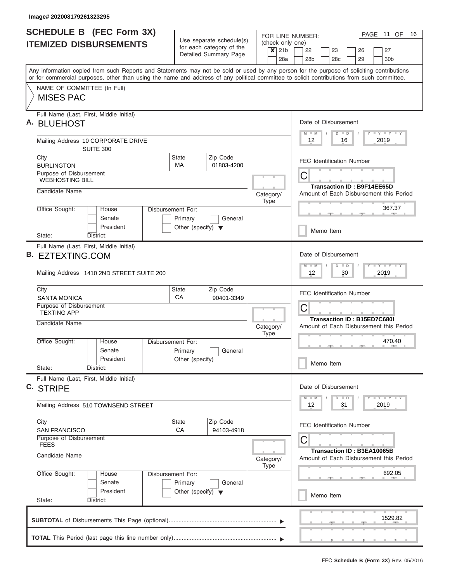| <b>SCHEDULE B</b> (FEC Form 3X)<br><b>ITEMIZED DISBURSEMENTS</b>                                                                                                                                                                                                                                                                           |                                                                      | Use separate schedule(s)<br>for each category of the<br>Detailed Summary Page | FOR LINE NUMBER:<br>(check only one)<br>$x$ 21b<br>28a                                  | PAGE 11 OF<br>16<br>22<br>23<br>27<br>26<br>30 <sub>b</sub><br>28 <sub>b</sub><br>28c<br>29                           |  |  |  |  |
|--------------------------------------------------------------------------------------------------------------------------------------------------------------------------------------------------------------------------------------------------------------------------------------------------------------------------------------------|----------------------------------------------------------------------|-------------------------------------------------------------------------------|-----------------------------------------------------------------------------------------|-----------------------------------------------------------------------------------------------------------------------|--|--|--|--|
| Any information copied from such Reports and Statements may not be sold or used by any person for the purpose of soliciting contributions<br>or for commercial purposes, other than using the name and address of any political committee to solicit contributions from such committee.<br>NAME OF COMMITTEE (In Full)<br><b>MISES PAC</b> |                                                                      |                                                                               |                                                                                         |                                                                                                                       |  |  |  |  |
| Full Name (Last, First, Middle Initial)<br>А.<br><b>BLUEHOST</b>                                                                                                                                                                                                                                                                           |                                                                      |                                                                               |                                                                                         | Date of Disbursement<br>Y LY LY LY<br>$M$ $M$<br>$D$ $D$                                                              |  |  |  |  |
| Mailing Address 10 CORPORATE DRIVE<br><b>SUITE 300</b>                                                                                                                                                                                                                                                                                     |                                                                      |                                                                               |                                                                                         | 2019<br>12<br>16                                                                                                      |  |  |  |  |
| City<br><b>BURLINGTON</b>                                                                                                                                                                                                                                                                                                                  | <b>State</b><br><b>MA</b>                                            | Zip Code<br>01803-4200                                                        |                                                                                         | <b>FEC Identification Number</b>                                                                                      |  |  |  |  |
| Purpose of Disbursement<br><b>WEBHOSTING BILL</b><br>Candidate Name                                                                                                                                                                                                                                                                        |                                                                      |                                                                               | C<br>Transaction ID: B9F14EE65D<br>Amount of Each Disbursement this Period<br>Category/ |                                                                                                                       |  |  |  |  |
| Office Sought:<br>House<br>Senate<br>President                                                                                                                                                                                                                                                                                             | Disbursement For:<br>Primary<br>Other (specify) $\blacktriangledown$ | General                                                                       | Type                                                                                    | 367.37<br>Memo Item                                                                                                   |  |  |  |  |
| District:<br>State:<br>Full Name (Last, First, Middle Initial)<br>В.<br>EZTEXTING.COM<br>Mailing Address 1410 2ND STREET SUITE 200                                                                                                                                                                                                         |                                                                      |                                                                               |                                                                                         | Date of Disbursement<br>$T$ $T$ $T$ $T$ $T$ $T$ $T$ $T$ $T$<br>$M - M$<br>$D$ $D$<br>12<br>2019<br>30                 |  |  |  |  |
| City<br><b>SANTA MONICA</b><br>Purpose of Disbursement<br><b>TEXTING APP</b>                                                                                                                                                                                                                                                               | <b>State</b><br>CA                                                   | Zip Code<br>90401-3349                                                        |                                                                                         | <b>FEC Identification Number</b><br>С<br>Transaction ID: B15ED7C680I                                                  |  |  |  |  |
| Candidate Name<br>Office Sought:<br>House<br>Senate<br>President<br>State:<br>District:                                                                                                                                                                                                                                                    | Disbursement For:<br>Primary<br>Other (specify)                      | General                                                                       | Category/<br>Type                                                                       | Amount of Each Disbursement this Period<br>470.40<br>$-1$<br><b>ARMS</b><br>Memo Item                                 |  |  |  |  |
| Full Name (Last, First, Middle Initial)<br>C. STRIPE<br>Mailing Address 510 TOWNSEND STREET                                                                                                                                                                                                                                                |                                                                      |                                                                               |                                                                                         | Date of Disbursement<br><b>LY LY LY</b><br>$D$ $D$<br>W<br>12<br>31<br>2019                                           |  |  |  |  |
| City<br><b>SAN FRANCISCO</b><br>Purpose of Disbursement<br><b>FEES</b><br>Candidate Name                                                                                                                                                                                                                                                   | State<br><b>CA</b>                                                   | Zip Code<br>94103-4918                                                        | Category/<br>Type                                                                       | <b>FEC Identification Number</b><br>C<br><b>Transaction ID: B3EA10065B</b><br>Amount of Each Disbursement this Period |  |  |  |  |
| Office Sought:<br>House<br>Senate<br>President<br>State:<br>District:                                                                                                                                                                                                                                                                      | Disbursement For:<br>Primary<br>Other (specify) $\blacktriangledown$ | General                                                                       |                                                                                         | 692.05<br>Memo Item                                                                                                   |  |  |  |  |
|                                                                                                                                                                                                                                                                                                                                            |                                                                      |                                                                               |                                                                                         | 1529.82                                                                                                               |  |  |  |  |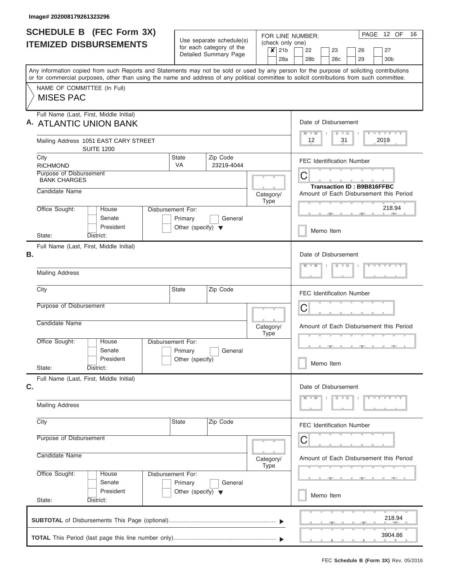| <b>SCHEDULE B (FEC Form 3X)</b>                                                                                                                                                                                                                                                         |                                                                      |                        |           |             | FOR LINE NUMBER: |                                                          |                                        |  |         |  |    |  |  | PAGE 12 OF          | 16 |
|-----------------------------------------------------------------------------------------------------------------------------------------------------------------------------------------------------------------------------------------------------------------------------------------|----------------------------------------------------------------------|------------------------|-----------|-------------|------------------|----------------------------------------------------------|----------------------------------------|--|---------|--|----|--|--|---------------------|----|
| <b>ITEMIZED DISBURSEMENTS</b>                                                                                                                                                                                                                                                           | Use separate schedule(s)<br>for each category of the                 |                        |           |             | $x$ 21b          | (check only one)<br>22<br>23<br>27<br>26                 |                                        |  |         |  |    |  |  |                     |    |
|                                                                                                                                                                                                                                                                                         |                                                                      | Detailed Summary Page  |           |             | 28a              | 28 <sub>b</sub>                                          |                                        |  | 28c     |  | 29 |  |  | 30b                 |    |
| Any information copied from such Reports and Statements may not be sold or used by any person for the purpose of soliciting contributions<br>or for commercial purposes, other than using the name and address of any political committee to solicit contributions from such committee. |                                                                      |                        |           |             |                  |                                                          |                                        |  |         |  |    |  |  |                     |    |
| NAME OF COMMITTEE (In Full)<br><b>MISES PAC</b>                                                                                                                                                                                                                                         |                                                                      |                        |           |             |                  |                                                          |                                        |  |         |  |    |  |  |                     |    |
| Full Name (Last, First, Middle Initial)<br>A. ATLANTIC UNION BANK                                                                                                                                                                                                                       |                                                                      |                        |           |             |                  | Date of Disbursement<br>Y LY LY LY<br>$M - M$<br>$D$ $D$ |                                        |  |         |  |    |  |  |                     |    |
| Mailing Address 1051 EAST CARY STREET<br><b>SUITE 1200</b>                                                                                                                                                                                                                              |                                                                      |                        |           |             |                  | 12                                                       |                                        |  | 31      |  |    |  |  | 2019                |    |
| City<br><b>RICHMOND</b>                                                                                                                                                                                                                                                                 | <b>State</b><br>VA                                                   | Zip Code<br>23219-4044 |           |             |                  | <b>FEC Identification Number</b>                         |                                        |  |         |  |    |  |  |                     |    |
| <b>BANK CHARGES</b>                                                                                                                                                                                                                                                                     | Purpose of Disbursement                                              |                        |           |             |                  |                                                          | C<br><b>Transaction ID: B9B816FFBC</b> |  |         |  |    |  |  |                     |    |
| Candidate Name                                                                                                                                                                                                                                                                          |                                                                      |                        | Category/ | <b>Type</b> |                  | Amount of Each Disbursement this Period                  |                                        |  |         |  |    |  |  |                     |    |
| Office Sought:<br>House<br>Senate<br>President                                                                                                                                                                                                                                          | Disbursement For:<br>Primary<br>Other (specify) $\blacktriangledown$ |                        | 218.94    |             |                  |                                                          |                                        |  |         |  |    |  |  |                     |    |
| State:<br>District:                                                                                                                                                                                                                                                                     |                                                                      |                        |           |             |                  |                                                          | Memo Item                              |  |         |  |    |  |  |                     |    |
| Full Name (Last, First, Middle Initial)<br>В.                                                                                                                                                                                                                                           |                                                                      |                        |           |             |                  | Date of Disbursement<br>$Y = Y = Y = Y$<br>$D$ $D$       |                                        |  |         |  |    |  |  |                     |    |
| <b>Mailing Address</b>                                                                                                                                                                                                                                                                  |                                                                      |                        |           |             |                  |                                                          |                                        |  |         |  |    |  |  |                     |    |
| City                                                                                                                                                                                                                                                                                    | <b>State</b>                                                         | Zip Code               |           |             |                  | <b>FEC Identification Number</b>                         |                                        |  |         |  |    |  |  |                     |    |
| Purpose of Disbursement                                                                                                                                                                                                                                                                 |                                                                      |                        |           |             |                  | C                                                        |                                        |  |         |  |    |  |  |                     |    |
| Candidate Name<br>Category/<br><b>Type</b>                                                                                                                                                                                                                                              |                                                                      |                        |           |             |                  | Amount of Each Disbursement this Period                  |                                        |  |         |  |    |  |  |                     |    |
| Office Sought:<br>House<br>Senate                                                                                                                                                                                                                                                       | Disbursement For:<br>General<br>Primary                              |                        |           |             |                  |                                                          |                                        |  |         |  |    |  |  |                     |    |
| President<br>State:<br>District:                                                                                                                                                                                                                                                        | Other (specify)                                                      |                        |           |             |                  |                                                          | Memo Item                              |  |         |  |    |  |  |                     |    |
| Full Name (Last, First, Middle Initial)<br>C.                                                                                                                                                                                                                                           |                                                                      |                        |           |             |                  | Date of Disbursement                                     |                                        |  |         |  |    |  |  |                     |    |
| <b>Mailing Address</b>                                                                                                                                                                                                                                                                  |                                                                      |                        |           |             |                  |                                                          |                                        |  | $D$ $D$ |  |    |  |  | $Y - Y - Y - Y - Y$ |    |
| City                                                                                                                                                                                                                                                                                    | <b>State</b>                                                         | Zip Code               |           |             |                  | <b>FEC Identification Number</b>                         |                                        |  |         |  |    |  |  |                     |    |
| Purpose of Disbursement                                                                                                                                                                                                                                                                 |                                                                      |                        |           |             |                  | С                                                        |                                        |  |         |  |    |  |  |                     |    |
| Candidate Name                                                                                                                                                                                                                                                                          |                                                                      |                        | Category/ | <b>Type</b> |                  | Amount of Each Disbursement this Period                  |                                        |  |         |  |    |  |  |                     |    |
| Office Sought:<br>House<br>Senate                                                                                                                                                                                                                                                       | Disbursement For:<br>Primary                                         | General                |           |             |                  |                                                          |                                        |  |         |  |    |  |  |                     |    |
| President<br>State:<br>District:                                                                                                                                                                                                                                                        | Other (specify) $\blacktriangledown$                                 |                        |           |             |                  |                                                          | Memo Item                              |  |         |  |    |  |  |                     |    |
|                                                                                                                                                                                                                                                                                         |                                                                      |                        |           |             |                  |                                                          |                                        |  |         |  |    |  |  | 218.94<br>3904.86   |    |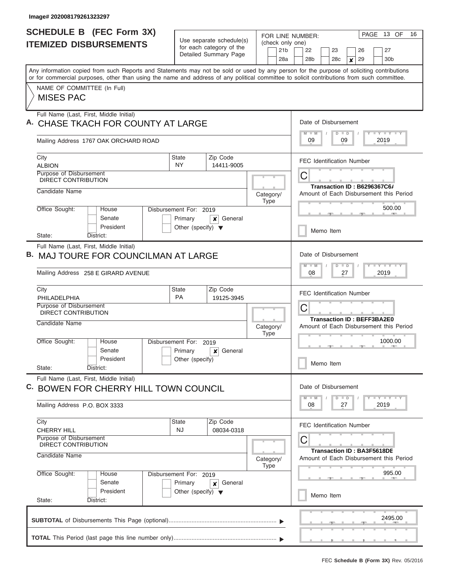$\overline{\phantom{a}}$ 

| <b>SCHEDULE B (FEC Form 3X)</b><br><b>ITEMIZED DISBURSEMENTS</b>                                                                                                                                                                                                                        | Use separate schedule(s)<br>for each category of the<br>Detailed Summary Page                        | FOR LINE NUMBER:<br>(check only one)<br>21 <sub>b</sub><br>28a | 13 OF<br>16<br>PAGE<br>22<br>26<br>27<br>23<br>28 <sub>b</sub><br>28c<br>29<br>30 <sub>b</sub><br>$\boldsymbol{x}$     |  |  |  |  |
|-----------------------------------------------------------------------------------------------------------------------------------------------------------------------------------------------------------------------------------------------------------------------------------------|------------------------------------------------------------------------------------------------------|----------------------------------------------------------------|------------------------------------------------------------------------------------------------------------------------|--|--|--|--|
| Any information copied from such Reports and Statements may not be sold or used by any person for the purpose of soliciting contributions<br>or for commercial purposes, other than using the name and address of any political committee to solicit contributions from such committee. |                                                                                                      |                                                                |                                                                                                                        |  |  |  |  |
| NAME OF COMMITTEE (In Full)<br><b>MISES PAC</b>                                                                                                                                                                                                                                         |                                                                                                      |                                                                |                                                                                                                        |  |  |  |  |
| Full Name (Last, First, Middle Initial)<br>A. CHASE TKACH FOR COUNTY AT LARGE<br>Mailing Address 1767 OAK ORCHARD ROAD                                                                                                                                                                  | Date of Disbursement<br>Y LY LY LY<br>$D$ $D$<br>2019<br>09<br>09                                    |                                                                |                                                                                                                        |  |  |  |  |
| City<br><b>ALBION</b><br>Purpose of Disbursement<br>DIRECT CONTRIBUTION<br>Candidate Name                                                                                                                                                                                               | Zip Code<br><b>State</b><br>NY<br>14411-9005                                                         | Category/                                                      | <b>FEC Identification Number</b><br>Ĉ<br><b>Transaction ID: B6296367C6/</b><br>Amount of Each Disbursement this Period |  |  |  |  |
| Office Sought:<br>House<br>Senate<br>President<br>State:<br>District:                                                                                                                                                                                                                   | Disbursement For: 2019<br>Primary<br>General<br>$\mathsf{x}$<br>Other (specify) $\blacktriangledown$ | <b>Type</b>                                                    | 500.00<br>Memo Item                                                                                                    |  |  |  |  |
| Full Name (Last, First, Middle Initial)<br><b>B. MAJ TOURE FOR COUNCILMAN AT LARGE</b><br>Mailing Address 258 E GIRARD AVENUE                                                                                                                                                           |                                                                                                      |                                                                | Date of Disbursement<br>$T - Y$ $T - Y$ $T - Y$<br>$\overline{D}$<br>$\blacksquare$<br>08<br>2019<br>27                |  |  |  |  |
| City<br>PHILADELPHIA<br>Purpose of Disbursement<br>DIRECT CONTRIBUTION<br>Candidate Name                                                                                                                                                                                                | Zip Code<br><b>State</b><br><b>PA</b><br>19125-3945                                                  | Category/                                                      | <b>FEC Identification Number</b><br>Ĉ<br><b>Transaction ID: BEFF3BA2E0</b><br>Amount of Each Disbursement this Period  |  |  |  |  |
| Office Sought:<br>House<br>Senate<br>President<br>State:<br>District:                                                                                                                                                                                                                   | Disbursement For: 2019<br>Primary<br>General<br>×<br>Other (specify)                                 | <b>Type</b>                                                    | 1000.00<br>Memo Item                                                                                                   |  |  |  |  |
| Full Name (Last, First, Middle Initial)<br>C. BOWEN FOR CHERRY HILL TOWN COUNCIL<br>Mailing Address P.O. BOX 3333                                                                                                                                                                       |                                                                                                      |                                                                | Date of Disbursement<br>$Y - Y - Y - Y - I - Y$<br>$M$ $M$<br>$D$ $D$<br>2019<br>08<br>27                              |  |  |  |  |
| City<br><b>CHERRY HILL</b><br>Purpose of Disbursement<br><b>DIRECT CONTRIBUTION</b><br>Candidate Name                                                                                                                                                                                   | <b>State</b><br>Zip Code<br>NJ<br>08034-0318                                                         | Category/<br>Type                                              | <b>FEC Identification Number</b><br>Ĉ<br><b>Transaction ID: BA3F5618DE</b><br>Amount of Each Disbursement this Period  |  |  |  |  |
| Office Sought:<br>House<br>Senate<br>President<br>State:<br>District:                                                                                                                                                                                                                   | Disbursement For: 2019<br>Primary<br>General<br>×<br>Other (specify) $\blacktriangledown$            |                                                                | 995.00<br>Memo Item                                                                                                    |  |  |  |  |
|                                                                                                                                                                                                                                                                                         |                                                                                                      |                                                                | 2495.00                                                                                                                |  |  |  |  |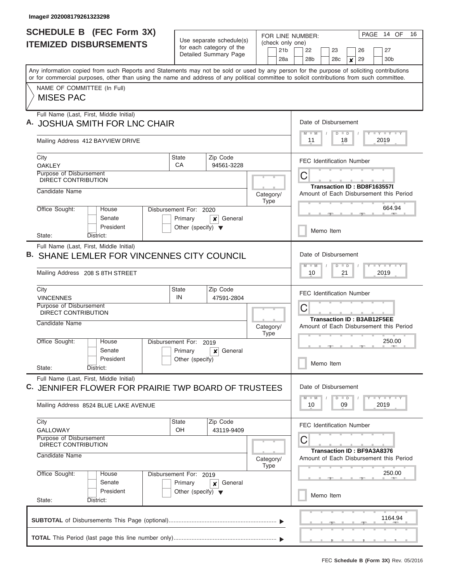| <b>SCHEDULE B (FEC Form 3X)</b><br><b>ITEMIZED DISBURSEMENTS</b>                                                                                                                                                                                                                        | Use separate schedule(s)                                                                  | FOR LINE NUMBER:<br>(check only one)                                                            | 14 OF<br>16<br>PAGE                                                                                                         |  |  |  |  |  |
|-----------------------------------------------------------------------------------------------------------------------------------------------------------------------------------------------------------------------------------------------------------------------------------------|-------------------------------------------------------------------------------------------|-------------------------------------------------------------------------------------------------|-----------------------------------------------------------------------------------------------------------------------------|--|--|--|--|--|
|                                                                                                                                                                                                                                                                                         | for each category of the<br>Detailed Summary Page                                         | 21 <sub>b</sub><br>28a                                                                          | 22<br>23<br>26<br>27<br>28 <sub>b</sub><br>28 <sub>c</sub><br>29<br>30 <sub>b</sub><br>$\boldsymbol{x}$                     |  |  |  |  |  |
| Any information copied from such Reports and Statements may not be sold or used by any person for the purpose of soliciting contributions<br>or for commercial purposes, other than using the name and address of any political committee to solicit contributions from such committee. |                                                                                           |                                                                                                 |                                                                                                                             |  |  |  |  |  |
| NAME OF COMMITTEE (In Full)<br><b>MISES PAC</b>                                                                                                                                                                                                                                         |                                                                                           |                                                                                                 |                                                                                                                             |  |  |  |  |  |
| Full Name (Last, First, Middle Initial)<br><b>JOSHUA SMITH FOR LNC CHAIR</b>                                                                                                                                                                                                            | Date of Disbursement<br>$T - Y = T - Y$<br>$\overline{\mathsf{M}}$<br>$D$ $D$             |                                                                                                 |                                                                                                                             |  |  |  |  |  |
| Mailing Address 412 BAYVIEW DRIVE                                                                                                                                                                                                                                                       |                                                                                           |                                                                                                 | 11<br>18<br>2019                                                                                                            |  |  |  |  |  |
| City<br><b>OAKLEY</b>                                                                                                                                                                                                                                                                   | Zip Code<br><b>State</b><br>CA<br>94561-3228                                              |                                                                                                 | <b>FEC Identification Number</b>                                                                                            |  |  |  |  |  |
| Purpose of Disbursement<br>DIRECT CONTRIBUTION<br>Candidate Name                                                                                                                                                                                                                        |                                                                                           | C<br><b>Transaction ID: BD8F163557I</b><br>Amount of Each Disbursement this Period<br>Category/ |                                                                                                                             |  |  |  |  |  |
| Office Sought:<br>House<br>Senate                                                                                                                                                                                                                                                       | <b>Type</b><br>Disbursement For: 2020<br>Primary<br>General<br>x                          |                                                                                                 |                                                                                                                             |  |  |  |  |  |
| President<br>State:<br>District:                                                                                                                                                                                                                                                        | Other (specify) $\blacktriangledown$                                                      |                                                                                                 | Memo Item                                                                                                                   |  |  |  |  |  |
| Full Name (Last, First, Middle Initial)<br>SHANE LEMLER FOR VINCENNES CITY COUNCIL<br>Mailing Address 208 S 8TH STREET                                                                                                                                                                  |                                                                                           |                                                                                                 | Date of Disbursement<br>$-1$ $-1$ $-1$ $-1$ $-1$<br>M<br>D<br>$\blacksquare$<br>10<br>21<br>2019                            |  |  |  |  |  |
| City<br><b>VINCENNES</b>                                                                                                                                                                                                                                                                | Zip Code<br><b>State</b><br>IN<br>47591-2804                                              |                                                                                                 | <b>FEC Identification Number</b>                                                                                            |  |  |  |  |  |
| Purpose of Disbursement<br>DIRECT CONTRIBUTION                                                                                                                                                                                                                                          |                                                                                           | $\mathsf C$<br><b>Transaction ID: B3AB12F5EE</b>                                                |                                                                                                                             |  |  |  |  |  |
| Candidate Name                                                                                                                                                                                                                                                                          |                                                                                           | Category/<br><b>Type</b>                                                                        | Amount of Each Disbursement this Period                                                                                     |  |  |  |  |  |
| Office Sought:<br>House<br>Disbursement For: 2019<br>Senate<br>President<br>State:<br>District:                                                                                                                                                                                         |                                                                                           | 250.00<br>Memo Item                                                                             |                                                                                                                             |  |  |  |  |  |
| Full Name (Last, First, Middle Initial)<br>C. JENNIFER FLOWER FOR PRAIRIE TWP BOARD OF TRUSTEES                                                                                                                                                                                         |                                                                                           |                                                                                                 | Date of Disbursement<br>$\mathbf{I}$ $\mathbf{Y}$ $\mathbf{I}$ $\mathbf{Y}$ $\mathbf{I}$ $\mathbf{Y}$<br>$M - M$<br>$D$ $D$ |  |  |  |  |  |
| Mailing Address 8524 BLUE LAKE AVENUE                                                                                                                                                                                                                                                   |                                                                                           |                                                                                                 | 10<br>09<br>2019                                                                                                            |  |  |  |  |  |
| City<br><b>GALLOWAY</b><br>Purpose of Disbursement                                                                                                                                                                                                                                      | <b>State</b><br>Zip Code<br>OH<br>43119-9409                                              |                                                                                                 | <b>FEC Identification Number</b>                                                                                            |  |  |  |  |  |
| DIRECT CONTRIBUTION<br>Candidate Name                                                                                                                                                                                                                                                   |                                                                                           | Category/<br>Type                                                                               | С<br><b>Transaction ID: BF9A3A8376</b><br>Amount of Each Disbursement this Period                                           |  |  |  |  |  |
| Office Sought:<br>House<br>Senate<br>President                                                                                                                                                                                                                                          | Disbursement For: 2019<br>Primary<br>General<br>x<br>Other (specify) $\blacktriangledown$ |                                                                                                 | 250.00<br>Memo Item                                                                                                         |  |  |  |  |  |
| State:<br>District:                                                                                                                                                                                                                                                                     |                                                                                           |                                                                                                 |                                                                                                                             |  |  |  |  |  |
|                                                                                                                                                                                                                                                                                         |                                                                                           |                                                                                                 |                                                                                                                             |  |  |  |  |  |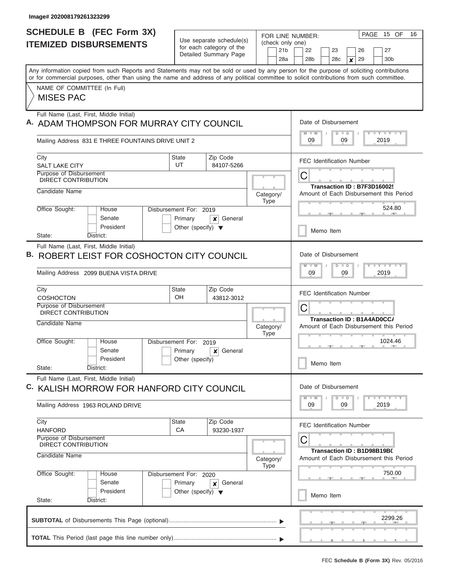| <b>SCHEDULE B (FEC Form 3X)</b><br><b>ITEMIZED DISBURSEMENTS</b>                                                                                                                                                                                                                        |                                                                           | Use separate schedule(s)                          | PAGE 15 OF<br>FOR LINE NUMBER:<br>(check only one) |                                                                                          |  |  |  |  |  |
|-----------------------------------------------------------------------------------------------------------------------------------------------------------------------------------------------------------------------------------------------------------------------------------------|---------------------------------------------------------------------------|---------------------------------------------------|----------------------------------------------------|------------------------------------------------------------------------------------------|--|--|--|--|--|
|                                                                                                                                                                                                                                                                                         |                                                                           | for each category of the<br>Detailed Summary Page | 21 <sub>b</sub><br>28a                             | 26<br>27<br>22<br>23<br>30 <sub>b</sub><br>28 <sub>b</sub><br>28 <sub>c</sub><br>29<br>× |  |  |  |  |  |
| Any information copied from such Reports and Statements may not be sold or used by any person for the purpose of soliciting contributions<br>or for commercial purposes, other than using the name and address of any political committee to solicit contributions from such committee. |                                                                           |                                                   |                                                    |                                                                                          |  |  |  |  |  |
| NAME OF COMMITTEE (In Full)<br><b>MISES PAC</b>                                                                                                                                                                                                                                         |                                                                           |                                                   |                                                    |                                                                                          |  |  |  |  |  |
| Full Name (Last, First, Middle Initial)<br>A. ADAM THOMPSON FOR MURRAY CITY COUNCIL                                                                                                                                                                                                     |                                                                           |                                                   |                                                    | Date of Disbursement<br><b>LYLYLY</b><br>$\Box$<br>09<br>09<br>2019                      |  |  |  |  |  |
| Mailing Address 831 E THREE FOUNTAINS DRIVE UNIT 2                                                                                                                                                                                                                                      |                                                                           |                                                   |                                                    |                                                                                          |  |  |  |  |  |
| City<br><b>SALT LAKE CITY</b>                                                                                                                                                                                                                                                           | <b>State</b><br>UT                                                        | Zip Code<br>84107-5266                            |                                                    | <b>FEC Identification Number</b>                                                         |  |  |  |  |  |
| Purpose of Disbursement<br><b>DIRECT CONTRIBUTION</b>                                                                                                                                                                                                                                   |                                                                           |                                                   |                                                    | С<br>Transaction ID: B7F3D16002!                                                         |  |  |  |  |  |
| Candidate Name                                                                                                                                                                                                                                                                          |                                                                           |                                                   | Category/<br><b>Type</b>                           | Amount of Each Disbursement this Period                                                  |  |  |  |  |  |
| Office Sought:<br>House<br>Senate<br>President                                                                                                                                                                                                                                          | Disbursement For: 2019<br>Primary<br>Other (specify) $\blacktriangledown$ | General<br>x                                      |                                                    | 524.80                                                                                   |  |  |  |  |  |
| State:<br>District:                                                                                                                                                                                                                                                                     |                                                                           |                                                   |                                                    | Memo Item                                                                                |  |  |  |  |  |
| Full Name (Last, First, Middle Initial)<br>B. ROBERT LEIST FOR COSHOCTON CITY COUNCIL                                                                                                                                                                                                   |                                                                           |                                                   |                                                    | Date of Disbursement<br><b>LY LY</b><br>M<br>$\Box$                                      |  |  |  |  |  |
| Mailing Address 2099 BUENA VISTA DRIVE                                                                                                                                                                                                                                                  |                                                                           |                                                   |                                                    | 2019<br>09<br>09                                                                         |  |  |  |  |  |
| City<br>COSHOCTON                                                                                                                                                                                                                                                                       | <b>State</b><br>OH                                                        | Zip Code<br>43812-3012                            |                                                    | <b>FEC Identification Number</b>                                                         |  |  |  |  |  |
| Purpose of Disbursement<br>DIRECT CONTRIBUTION                                                                                                                                                                                                                                          |                                                                           |                                                   |                                                    | С<br>Transaction ID: B1A4AD0CC/                                                          |  |  |  |  |  |
| Candidate Name                                                                                                                                                                                                                                                                          |                                                                           |                                                   | Category/<br><b>Type</b>                           | Amount of Each Disbursement this Period                                                  |  |  |  |  |  |
| Office Sought:<br>House<br>Senate                                                                                                                                                                                                                                                       | Disbursement For: 2019<br>Primary                                         | General<br>$\pmb{\times}$                         |                                                    | 1024.46                                                                                  |  |  |  |  |  |
| President<br>State:<br>District:                                                                                                                                                                                                                                                        | Other (specify)                                                           |                                                   |                                                    | Memo Item                                                                                |  |  |  |  |  |
| Full Name (Last, First, Middle Initial)<br>C. KALISH MORROW FOR HANFORD CITY COUNCIL                                                                                                                                                                                                    |                                                                           |                                                   |                                                    | Date of Disbursement                                                                     |  |  |  |  |  |
| Mailing Address 1963 ROLAND DRIVE                                                                                                                                                                                                                                                       |                                                                           |                                                   |                                                    | $Y$ $Y$ $Y$ $Y$ $Y$<br>$D$ $D$<br>$M - M$<br>09<br>09<br>2019                            |  |  |  |  |  |
| City<br><b>HANFORD</b>                                                                                                                                                                                                                                                                  | <b>State</b><br>CA                                                        | Zip Code<br>93230-1937                            |                                                    | <b>FEC Identification Number</b>                                                         |  |  |  |  |  |
| Purpose of Disbursement<br><b>DIRECT CONTRIBUTION</b><br>Candidate Name                                                                                                                                                                                                                 |                                                                           |                                                   | Category/                                          | C<br>Transaction ID: B1D98B19B0<br>Amount of Each Disbursement this Period               |  |  |  |  |  |
| Office Sought:<br>House                                                                                                                                                                                                                                                                 | Disbursement For: 2020                                                    |                                                   | <b>Type</b>                                        | 750.00                                                                                   |  |  |  |  |  |
| Senate<br>President                                                                                                                                                                                                                                                                     | Primary<br>Other (specify) $\blacktriangledown$                           | General<br>×                                      |                                                    | Memo Item                                                                                |  |  |  |  |  |
| State:<br>District:                                                                                                                                                                                                                                                                     |                                                                           |                                                   |                                                    |                                                                                          |  |  |  |  |  |
|                                                                                                                                                                                                                                                                                         |                                                                           |                                                   |                                                    | <b>The Company's</b><br>2299.26                                                          |  |  |  |  |  |
|                                                                                                                                                                                                                                                                                         |                                                                           |                                                   |                                                    |                                                                                          |  |  |  |  |  |
|                                                                                                                                                                                                                                                                                         |                                                                           |                                                   |                                                    |                                                                                          |  |  |  |  |  |